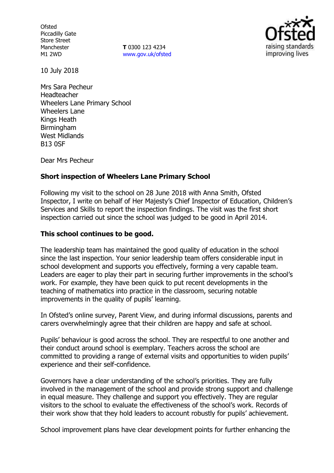**Ofsted** Piccadilly Gate Store Street Manchester M1 2WD

**T** 0300 123 4234 [www.gov.uk/ofsted](http://www.gov.uk/ofsted)



10 July 2018

Mrs Sara Pecheur Headteacher Wheelers Lane Primary School Wheelers Lane Kings Heath Birmingham West Midlands B13 0SF

Dear Mrs Pecheur

## **Short inspection of Wheelers Lane Primary School**

Following my visit to the school on 28 June 2018 with Anna Smith, Ofsted Inspector, I write on behalf of Her Majesty's Chief Inspector of Education, Children's Services and Skills to report the inspection findings. The visit was the first short inspection carried out since the school was judged to be good in April 2014.

### **This school continues to be good.**

The leadership team has maintained the good quality of education in the school since the last inspection. Your senior leadership team offers considerable input in school development and supports you effectively, forming a very capable team. Leaders are eager to play their part in securing further improvements in the school's work. For example, they have been quick to put recent developments in the teaching of mathematics into practice in the classroom, securing notable improvements in the quality of pupils' learning.

In Ofsted's online survey, Parent View, and during informal discussions, parents and carers overwhelmingly agree that their children are happy and safe at school.

Pupils' behaviour is good across the school. They are respectful to one another and their conduct around school is exemplary. Teachers across the school are committed to providing a range of external visits and opportunities to widen pupils' experience and their self-confidence.

Governors have a clear understanding of the school's priorities. They are fully involved in the management of the school and provide strong support and challenge in equal measure. They challenge and support you effectively. They are regular visitors to the school to evaluate the effectiveness of the school's work. Records of their work show that they hold leaders to account robustly for pupils' achievement.

School improvement plans have clear development points for further enhancing the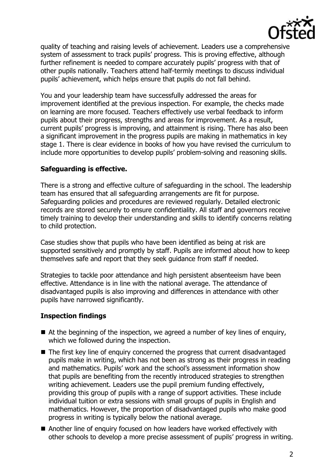

quality of teaching and raising levels of achievement. Leaders use a comprehensive system of assessment to track pupils' progress. This is proving effective, although further refinement is needed to compare accurately pupils' progress with that of other pupils nationally. Teachers attend half-termly meetings to discuss individual pupils' achievement, which helps ensure that pupils do not fall behind.

You and your leadership team have successfully addressed the areas for improvement identified at the previous inspection. For example, the checks made on learning are more focused. Teachers effectively use verbal feedback to inform pupils about their progress, strengths and areas for improvement. As a result, current pupils' progress is improving, and attainment is rising. There has also been a significant improvement in the progress pupils are making in mathematics in key stage 1. There is clear evidence in books of how you have revised the curriculum to include more opportunities to develop pupils' problem-solving and reasoning skills.

## **Safeguarding is effective.**

There is a strong and effective culture of safeguarding in the school. The leadership team has ensured that all safeguarding arrangements are fit for purpose. Safeguarding policies and procedures are reviewed regularly. Detailed electronic records are stored securely to ensure confidentiality. All staff and governors receive timely training to develop their understanding and skills to identify concerns relating to child protection.

Case studies show that pupils who have been identified as being at risk are supported sensitively and promptly by staff. Pupils are informed about how to keep themselves safe and report that they seek guidance from staff if needed.

Strategies to tackle poor attendance and high persistent absenteeism have been effective. Attendance is in line with the national average. The attendance of disadvantaged pupils is also improving and differences in attendance with other pupils have narrowed significantly.

# **Inspection findings**

- $\blacksquare$  At the beginning of the inspection, we agreed a number of key lines of enguiry, which we followed during the inspection.
- The first key line of enquiry concerned the progress that current disadvantaged pupils make in writing, which has not been as strong as their progress in reading and mathematics. Pupils' work and the school's assessment information show that pupils are benefiting from the recently introduced strategies to strengthen writing achievement. Leaders use the pupil premium funding effectively, providing this group of pupils with a range of support activities. These include individual tuition or extra sessions with small groups of pupils in English and mathematics. However, the proportion of disadvantaged pupils who make good progress in writing is typically below the national average.
- Another line of enquiry focused on how leaders have worked effectively with other schools to develop a more precise assessment of pupils' progress in writing.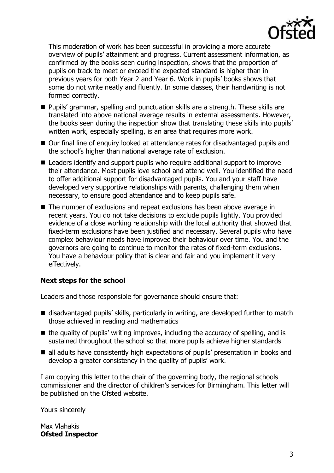

This moderation of work has been successful in providing a more accurate overview of pupils' attainment and progress. Current assessment information, as confirmed by the books seen during inspection, shows that the proportion of pupils on track to meet or exceed the expected standard is higher than in previous years for both Year 2 and Year 6. Work in pupils' books shows that some do not write neatly and fluently. In some classes, their handwriting is not formed correctly.

- Pupils' grammar, spelling and punctuation skills are a strength. These skills are translated into above national average results in external assessments. However, the books seen during the inspection show that translating these skills into pupils' written work, especially spelling, is an area that requires more work.
- Our final line of enquiry looked at attendance rates for disadvantaged pupils and the school's higher than national average rate of exclusion.
- Leaders identify and support pupils who require additional support to improve their attendance. Most pupils love school and attend well. You identified the need to offer additional support for disadvantaged pupils. You and your staff have developed very supportive relationships with parents, challenging them when necessary, to ensure good attendance and to keep pupils safe.
- The number of exclusions and repeat exclusions has been above average in recent years. You do not take decisions to exclude pupils lightly. You provided evidence of a close working relationship with the local authority that showed that fixed-term exclusions have been justified and necessary. Several pupils who have complex behaviour needs have improved their behaviour over time. You and the governors are going to continue to monitor the rates of fixed-term exclusions. You have a behaviour policy that is clear and fair and you implement it very effectively.

### **Next steps for the school**

Leaders and those responsible for governance should ensure that:

- disadvantaged pupils' skills, particularly in writing, are developed further to match those achieved in reading and mathematics
- $\blacksquare$  the quality of pupils' writing improves, including the accuracy of spelling, and is sustained throughout the school so that more pupils achieve higher standards
- all adults have consistently high expectations of pupils' presentation in books and develop a greater consistency in the quality of pupils' work.

I am copying this letter to the chair of the governing body, the regional schools commissioner and the director of children's services for Birmingham. This letter will be published on the Ofsted website.

Yours sincerely

Max Vlahakis **Ofsted Inspector**